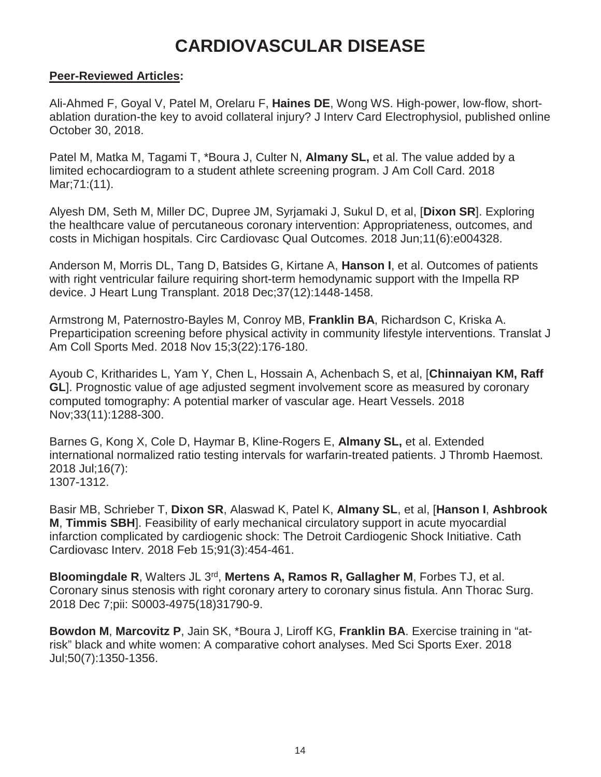# **CARDIOVASCULAR DISEASE**

#### **Peer-Reviewed Articles:**

Ali-Ahmed F, Goyal V, Patel M, Orelaru F, **Haines DE**, Wong WS. High-power, low-flow, shortablation duration-the key to avoid collateral injury? J Interv Card Electrophysiol, published online October 30, 2018.

Patel M, Matka M, Tagami T, \*Boura J, Culter N, **Almany SL,** et al. The value added by a limited echocardiogram to a student athlete screening program. J Am Coll Card. 2018 Mar;71:(11).

Alyesh DM, Seth M, Miller DC, Dupree JM, Syrjamaki J, Sukul D, et al, [**Dixon SR**]. Exploring the healthcare value of percutaneous coronary intervention: Appropriateness, outcomes, and costs in Michigan hospitals. Circ Cardiovasc Qual Outcomes. 2018 Jun;11(6):e004328.

Anderson M, Morris DL, Tang D, Batsides G, Kirtane A, **Hanson I**, et al. Outcomes of patients with right ventricular failure requiring short-term hemodynamic support with the Impella RP device. J Heart Lung Transplant. 2018 Dec;37(12):1448-1458.

Armstrong M, Paternostro-Bayles M, Conroy MB, **Franklin BA**, Richardson C, Kriska A. Preparticipation screening before physical activity in community lifestyle interventions. Translat J Am Coll Sports Med. 2018 Nov 15;3(22):176-180.

Ayoub C, Kritharides L, Yam Y, Chen L, Hossain A, Achenbach S, et al, [**Chinnaiyan KM, Raff GL**]. Prognostic value of age adjusted segment involvement score as measured by coronary computed tomography: A potential marker of vascular age. Heart Vessels. 2018 Nov;33(11):1288-300.

Barnes G, Kong X, Cole D, Haymar B, Kline-Rogers E, **Almany SL,** et al. Extended international normalized ratio testing intervals for warfarin-treated patients. J Thromb Haemost. 2018 Jul;16(7): 1307-1312.

Basir MB, Schrieber T, **Dixon SR**, Alaswad K, Patel K, **Almany SL**, et al, [**Hanson I**, **Ashbrook M**, **Timmis SBH**]. Feasibility of early mechanical circulatory support in acute myocardial infarction complicated by cardiogenic shock: The Detroit Cardiogenic Shock Initiative. Cath Cardiovasc Interv. 2018 Feb 15;91(3):454-461.

**Bloomingdale R**, Walters JL 3rd, **Mertens A, Ramos R, Gallagher M**, Forbes TJ, et al. Coronary sinus stenosis with right coronary artery to coronary sinus fistula. Ann Thorac Surg. 2018 Dec 7;pii: S0003-4975(18)31790-9.

**Bowdon M**, **Marcovitz P**, Jain SK, \*Boura J, Liroff KG, **Franklin BA**. Exercise training in "atrisk" black and white women: A comparative cohort analyses. Med Sci Sports Exer. 2018 Jul;50(7):1350-1356.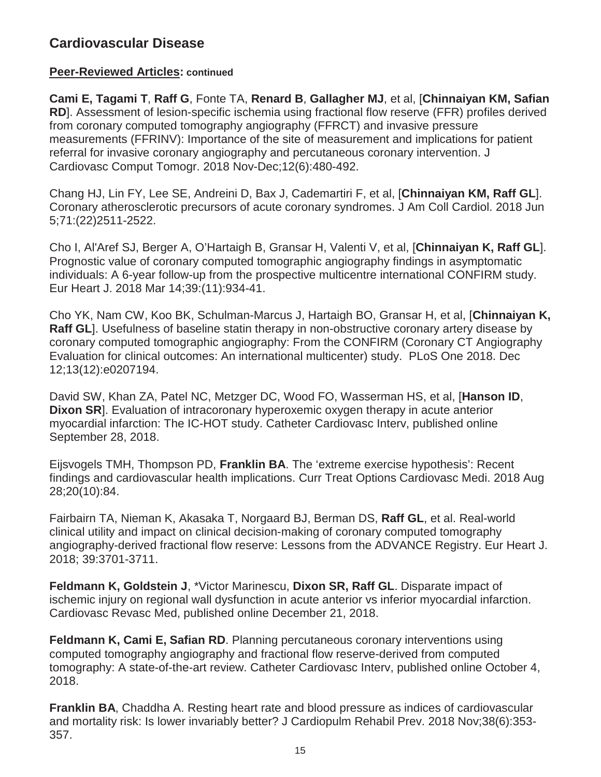### **Peer-Reviewed Articles: continued**

**Cami E, Tagami T**, **Raff G**, Fonte TA, **Renard B**, **Gallagher MJ**, et al, [**Chinnaiyan KM, Safian RD**]. Assessment of lesion-specific ischemia using fractional flow reserve (FFR) profiles derived from coronary computed tomography angiography (FFRCT) and invasive pressure measurements (FFRINV): Importance of the site of measurement and implications for patient referral for invasive coronary angiography and percutaneous coronary intervention. J Cardiovasc Comput Tomogr. 2018 Nov-Dec;12(6):480-492.

Chang HJ, Lin FY, Lee SE, Andreini D, Bax J, Cademartiri F, et al, [**Chinnaiyan KM, Raff GL**]. Coronary atherosclerotic precursors of acute coronary syndromes. J Am Coll Cardiol. 2018 Jun 5;71:(22)2511-2522.

Cho I, Al'Aref SJ, Berger A, O'Hartaigh B, Gransar H, Valenti V, et al, [**Chinnaiyan K, Raff GL**]. Prognostic value of coronary computed tomographic angiography findings in asymptomatic individuals: A 6-year follow-up from the prospective multicentre international CONFIRM study. Eur Heart J. 2018 Mar 14;39:(11):934-41.

Cho YK, Nam CW, Koo BK, Schulman-Marcus J, Hartaigh BO, Gransar H, et al, [**Chinnaiyan K, Raff GL**]. Usefulness of baseline statin therapy in non-obstructive coronary artery disease by coronary computed tomographic angiography: From the CONFIRM (Coronary CT Angiography Evaluation for clinical outcomes: An international multicenter) study. PLoS One 2018. Dec 12;13(12):e0207194.

David SW, Khan ZA, Patel NC, Metzger DC, Wood FO, Wasserman HS, et al, [**Hanson ID**, **Dixon SR**]. Evaluation of intracoronary hyperoxemic oxygen therapy in acute anterior myocardial infarction: The IC-HOT study. Catheter Cardiovasc Interv, published online September 28, 2018.

Eijsvogels TMH, Thompson PD, **Franklin BA**. The 'extreme exercise hypothesis': Recent findings and cardiovascular health implications. Curr Treat Options Cardiovasc Medi. 2018 Aug 28;20(10):84.

Fairbairn TA, Nieman K, Akasaka T, Norgaard BJ, Berman DS, **Raff GL**, et al. Real-world clinical utility and impact on clinical decision-making of coronary computed tomography angiography-derived fractional flow reserve: Lessons from the ADVANCE Registry. Eur Heart J. 2018; 39:3701-3711.

**Feldmann K, Goldstein J**, \*Victor Marinescu, **Dixon SR, Raff GL**. Disparate impact of ischemic injury on regional wall dysfunction in acute anterior vs inferior myocardial infarction. Cardiovasc Revasc Med, published online December 21, 2018.

**Feldmann K, Cami E, Safian RD**. Planning percutaneous coronary interventions using computed tomography angiography and fractional flow reserve-derived from computed tomography: A state-of-the-art review. Catheter Cardiovasc Interv, published online October 4, 2018.

**Franklin BA**, Chaddha A. Resting heart rate and blood pressure as indices of cardiovascular and mortality risk: Is lower invariably better? J Cardiopulm Rehabil Prev. 2018 Nov;38(6):353- 357.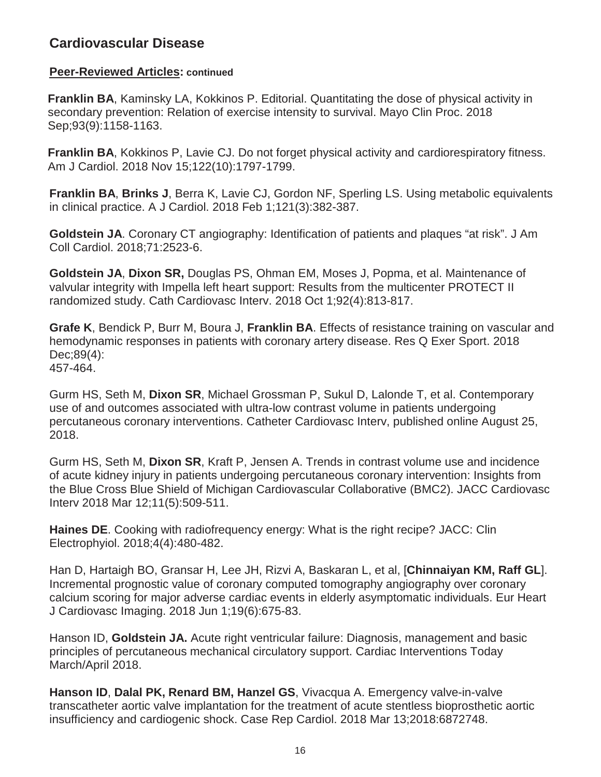### **Peer-Reviewed Articles: continued**

**Franklin BA**, Kaminsky LA, Kokkinos P. Editorial. Quantitating the dose of physical activity in secondary prevention: Relation of exercise intensity to survival. Mayo Clin Proc. 2018 Sep;93(9):1158-1163.

**Franklin BA**, Kokkinos P, Lavie CJ. Do not forget physical activity and cardiorespiratory fitness. Am J Cardiol. 2018 Nov 15;122(10):1797-1799.

**Franklin BA**, **Brinks J**, Berra K, Lavie CJ, Gordon NF, Sperling LS. Using metabolic equivalents in clinical practice. A J Cardiol. 2018 Feb 1;121(3):382-387.

**Goldstein JA**. Coronary CT angiography: Identification of patients and plaques "at risk". J Am Coll Cardiol. 2018;71:2523-6.

**Goldstein JA**, **Dixon SR,** Douglas PS, Ohman EM, Moses J, Popma, et al. Maintenance of valvular integrity with Impella left heart support: Results from the multicenter PROTECT II randomized study. Cath Cardiovasc Interv. 2018 Oct 1;92(4):813-817.

**Grafe K**, Bendick P, Burr M, Boura J, **Franklin BA**. Effects of resistance training on vascular and hemodynamic responses in patients with coronary artery disease. Res Q Exer Sport. 2018 Dec;89(4): 457-464.

Gurm HS, Seth M, **Dixon SR**, Michael Grossman P, Sukul D, Lalonde T, et al. Contemporary use of and outcomes associated with ultra-low contrast volume in patients undergoing percutaneous coronary interventions. Catheter Cardiovasc Interv, published online August 25, 2018.

Gurm HS, Seth M, **Dixon SR**, Kraft P, Jensen A. Trends in contrast volume use and incidence of acute kidney injury in patients undergoing percutaneous coronary intervention: Insights from the Blue Cross Blue Shield of Michigan Cardiovascular Collaborative (BMC2). JACC Cardiovasc Interv 2018 Mar 12;11(5):509-511.

**Haines DE**. Cooking with radiofrequency energy: What is the right recipe? JACC: Clin Electrophyiol. 2018;4(4):480-482.

Han D, Hartaigh BO, Gransar H, Lee JH, Rizvi A, Baskaran L, et al, [**Chinnaiyan KM, Raff GL**]. Incremental prognostic value of coronary computed tomography angiography over coronary calcium scoring for major adverse cardiac events in elderly asymptomatic individuals. Eur Heart J Cardiovasc Imaging. 2018 Jun 1;19(6):675-83.

Hanson ID, **Goldstein JA.** Acute right ventricular failure: Diagnosis, management and basic principles of percutaneous mechanical circulatory support. Cardiac Interventions Today March/April 2018.

**Hanson ID**, **Dalal PK, Renard BM, Hanzel GS**, Vivacqua A. Emergency valve-in-valve transcatheter aortic valve implantation for the treatment of acute stentless bioprosthetic aortic insufficiency and cardiogenic shock. Case Rep Cardiol. 2018 Mar 13;2018:6872748.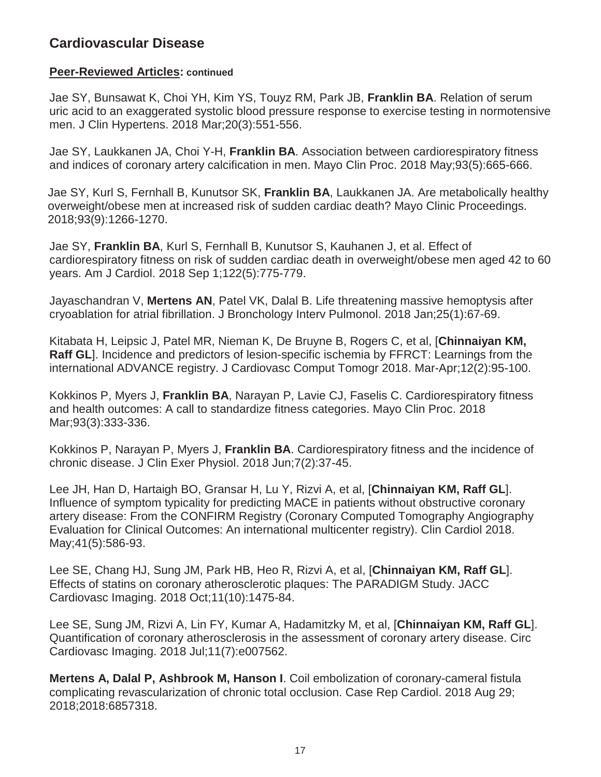#### **Peer-Reviewed Articles: continued**

Jae SY, Bunsawat K, Choi YH, Kim YS, Touyz RM, Park JB, **Franklin BA**. Relation of serum uric acid to an exaggerated systolic blood pressure response to exercise testing in normotensive men. J Clin Hypertens. 2018 Mar;20(3):551-556.

Jae SY, Laukkanen JA, Choi Y-H, **Franklin BA**. Association between cardiorespiratory fitness and indices of coronary artery calcification in men. Mayo Clin Proc. 2018 May;93(5):665-666.

Jae SY, Kurl S, Fernhall B, Kunutsor SK, **Franklin BA**, Laukkanen JA. Are metabolically healthy overweight/obese men at increased risk of sudden cardiac death? Mayo Clinic Proceedings. 2018;93(9):1266-1270.

Jae SY, **Franklin BA**, Kurl S, Fernhall B, Kunutsor S, Kauhanen J, et al. Effect of cardiorespiratory fitness on risk of sudden cardiac death in overweight/obese men aged 42 to 60 years. Am J Cardiol. 2018 Sep 1;122(5):775-779.

Jayaschandran V, **Mertens AN**, Patel VK, Dalal B. Life threatening massive hemoptysis after cryoablation for atrial fibrillation. J Bronchology Interv Pulmonol. 2018 Jan;25(1):67-69.

Kitabata H, Leipsic J, Patel MR, Nieman K, De Bruyne B, Rogers C, et al, [**Chinnaiyan KM, Raff GL**]. Incidence and predictors of lesion-specific ischemia by FFRCT: Learnings from the international ADVANCE registry. J Cardiovasc Comput Tomogr 2018. Mar-Apr;12(2):95-100.

Kokkinos P, Myers J, **Franklin BA**, Narayan P, Lavie CJ, Faselis C. Cardiorespiratory fitness and health outcomes: A call to standardize fitness categories. Mayo Clin Proc. 2018 Mar;93(3):333-336.

Kokkinos P, Narayan P, Myers J, **Franklin BA**. Cardiorespiratory fitness and the incidence of chronic disease. J Clin Exer Physiol. 2018 Jun;7(2):37-45.

Lee JH, Han D, Hartaigh BO, Gransar H, Lu Y, Rizvi A, et al, [**Chinnaiyan KM, Raff GL**]. Influence of symptom typicality for predicting MACE in patients without obstructive coronary artery disease: From the CONFIRM Registry (Coronary Computed Tomography Angiography Evaluation for Clinical Outcomes: An international multicenter registry). Clin Cardiol 2018. May;41(5):586-93.

Lee SE, Chang HJ, Sung JM, Park HB, Heo R, Rizvi A, et al, [**Chinnaiyan KM, Raff GL**]. Effects of statins on coronary atherosclerotic plaques: The PARADIGM Study. JACC Cardiovasc Imaging. 2018 Oct;11(10):1475-84.

Lee SE, Sung JM, Rizvi A, Lin FY, Kumar A, Hadamitzky M, et al, [**Chinnaiyan KM, Raff GL**]. Quantification of coronary atherosclerosis in the assessment of coronary artery disease. Circ Cardiovasc Imaging. 2018 Jul;11(7):e007562.

**Mertens A, Dalal P, Ashbrook M, Hanson I**. Coil embolization of coronary-cameral fistula complicating revascularization of chronic total occlusion. Case Rep Cardiol. 2018 Aug 29; 2018;2018:6857318.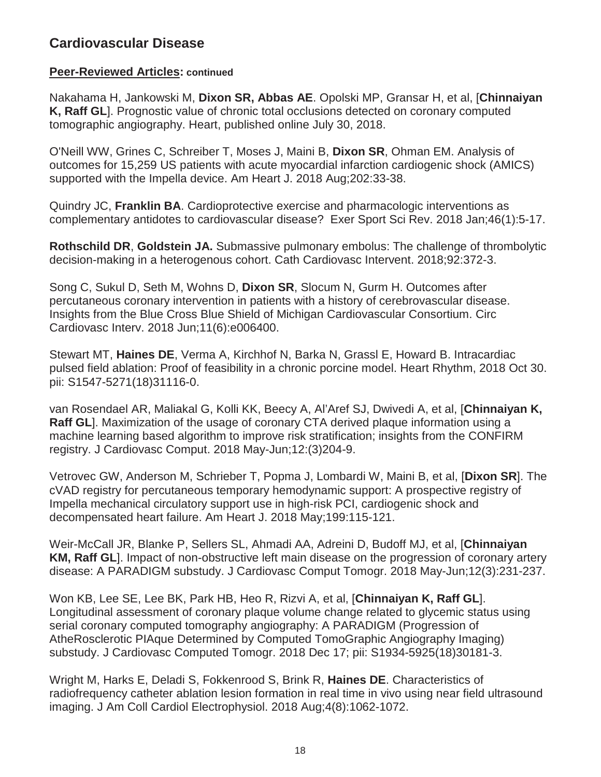#### **Peer-Reviewed Articles: continued**

Nakahama H, Jankowski M, **Dixon SR, Abbas AE**. Opolski MP, Gransar H, et al, [**Chinnaiyan K, Raff GL**]. Prognostic value of chronic total occlusions detected on coronary computed tomographic angiography. Heart, published online July 30, 2018.

O'Neill WW, Grines C, Schreiber T, Moses J, Maini B, **Dixon SR**, Ohman EM. Analysis of outcomes for 15,259 US patients with acute myocardial infarction cardiogenic shock (AMICS) supported with the Impella device. Am Heart J. 2018 Aug;202:33-38.

Quindry JC, **Franklin BA**. Cardioprotective exercise and pharmacologic interventions as complementary antidotes to cardiovascular disease? Exer Sport Sci Rev. 2018 Jan;46(1):5-17.

**Rothschild DR**, **Goldstein JA.** Submassive pulmonary embolus: The challenge of thrombolytic decision-making in a heterogenous cohort. Cath Cardiovasc Intervent. 2018;92:372-3.

Song C, Sukul D, Seth M, Wohns D, **Dixon SR**, Slocum N, Gurm H. Outcomes after percutaneous coronary intervention in patients with a history of cerebrovascular disease. Insights from the Blue Cross Blue Shield of Michigan Cardiovascular Consortium. Circ Cardiovasc Interv. 2018 Jun;11(6):e006400.

Stewart MT, **Haines DE**, Verma A, Kirchhof N, Barka N, Grassl E, Howard B. Intracardiac pulsed field ablation: Proof of feasibility in a chronic porcine model. Heart Rhythm, 2018 Oct 30. pii: S1547-5271(18)31116-0.

van Rosendael AR, Maliakal G, Kolli KK, Beecy A, Al'Aref SJ, Dwivedi A, et al, [**Chinnaiyan K, Raff GL**]. Maximization of the usage of coronary CTA derived plaque information using a machine learning based algorithm to improve risk stratification; insights from the CONFIRM registry. J Cardiovasc Comput. 2018 May-Jun;12:(3)204-9.

Vetrovec GW, Anderson M, Schrieber T, Popma J, Lombardi W, Maini B, et al, [**Dixon SR**]. The cVAD registry for percutaneous temporary hemodynamic support: A prospective registry of Impella mechanical circulatory support use in high-risk PCI, cardiogenic shock and decompensated heart failure. Am Heart J. 2018 May;199:115-121.

Weir-McCall JR, Blanke P, Sellers SL, Ahmadi AA, Adreini D, Budoff MJ, et al, [**Chinnaiyan KM, Raff GL**]. Impact of non-obstructive left main disease on the progression of coronary artery disease: A PARADIGM substudy. J Cardiovasc Comput Tomogr. 2018 May-Jun;12(3):231-237.

Won KB, Lee SE, Lee BK, Park HB, Heo R, Rizvi A, et al, [**Chinnaiyan K, Raff GL**]. Longitudinal assessment of coronary plaque volume change related to glycemic status using serial coronary computed tomography angiography: A PARADIGM (Progression of AtheRosclerotic PIAque Determined by Computed TomoGraphic Angiography Imaging) substudy. J Cardiovasc Computed Tomogr. 2018 Dec 17; pii: S1934-5925(18)30181-3.

Wright M, Harks E, Deladi S, Fokkenrood S, Brink R, **Haines DE**. Characteristics of radiofrequency catheter ablation lesion formation in real time in vivo using near field ultrasound imaging. J Am Coll Cardiol Electrophysiol. 2018 Aug;4(8):1062-1072.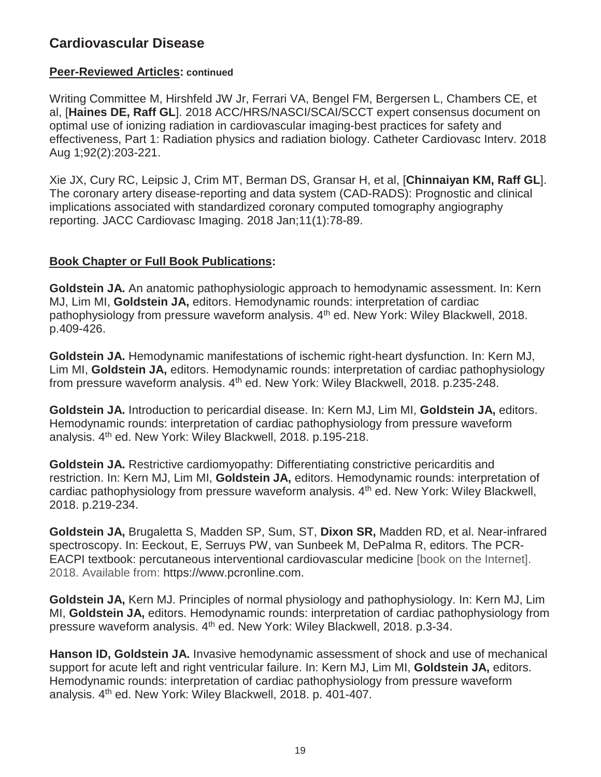### **Peer-Reviewed Articles: continued**

Writing Committee M, Hirshfeld JW Jr, Ferrari VA, Bengel FM, Bergersen L, Chambers CE, et al, [**Haines DE, Raff GL**]. 2018 ACC/HRS/NASCI/SCAI/SCCT expert consensus document on optimal use of ionizing radiation in cardiovascular imaging-best practices for safety and effectiveness, Part 1: Radiation physics and radiation biology. Catheter Cardiovasc Interv. 2018 Aug 1;92(2):203-221.

Xie JX, Cury RC, Leipsic J, Crim MT, Berman DS, Gransar H, et al, [**Chinnaiyan KM, Raff GL**]. The coronary artery disease-reporting and data system (CAD-RADS): Prognostic and clinical implications associated with standardized coronary computed tomography angiography reporting. JACC Cardiovasc Imaging. 2018 Jan;11(1):78-89.

### **Book Chapter or Full Book Publications:**

**Goldstein JA.** An anatomic pathophysiologic approach to hemodynamic assessment. In: Kern MJ, Lim MI, **Goldstein JA,** editors. Hemodynamic rounds: interpretation of cardiac pathophysiology from pressure waveform analysis. 4<sup>th</sup> ed. New York: Wiley Blackwell, 2018. p.409-426.

**Goldstein JA.** Hemodynamic manifestations of ischemic right-heart dysfunction. In: Kern MJ, Lim MI, **Goldstein JA,** editors. Hemodynamic rounds: interpretation of cardiac pathophysiology from pressure waveform analysis. 4<sup>th</sup> ed. New York: Wiley Blackwell, 2018. p.235-248.

**Goldstein JA.** Introduction to pericardial disease. In: Kern MJ, Lim MI, **Goldstein JA,** editors. Hemodynamic rounds: interpretation of cardiac pathophysiology from pressure waveform analysis. 4<sup>th</sup> ed. New York: Wiley Blackwell, 2018. p.195-218.

**Goldstein JA.** Restrictive cardiomyopathy: Differentiating constrictive pericarditis and restriction. In: Kern MJ, Lim MI, **Goldstein JA,** editors. Hemodynamic rounds: interpretation of cardiac pathophysiology from pressure waveform analysis. 4<sup>th</sup> ed. New York: Wiley Blackwell, 2018. p.219-234.

**Goldstein JA,** Brugaletta S, Madden SP, Sum, ST, **Dixon SR,** Madden RD, et al. Near-infrared spectroscopy. In: Eeckout, E, Serruys PW, van Sunbeek M, DePalma R, editors. The PCR-EACPI textbook: percutaneous interventional cardiovascular medicine [book on the Internet]. 2018. Available from: https://www.pcronline.com.

**Goldstein JA,** Kern MJ. Principles of normal physiology and pathophysiology. In: Kern MJ, Lim MI, **Goldstein JA,** editors. Hemodynamic rounds: interpretation of cardiac pathophysiology from pressure waveform analysis. 4<sup>th</sup> ed. New York: Wiley Blackwell, 2018. p.3-34.

**Hanson ID, Goldstein JA.** Invasive hemodynamic assessment of shock and use of mechanical support for acute left and right ventricular failure. In: Kern MJ, Lim MI, **Goldstein JA,** editors. Hemodynamic rounds: interpretation of cardiac pathophysiology from pressure waveform analysis. 4<sup>th</sup> ed. New York: Wiley Blackwell, 2018. p. 401-407.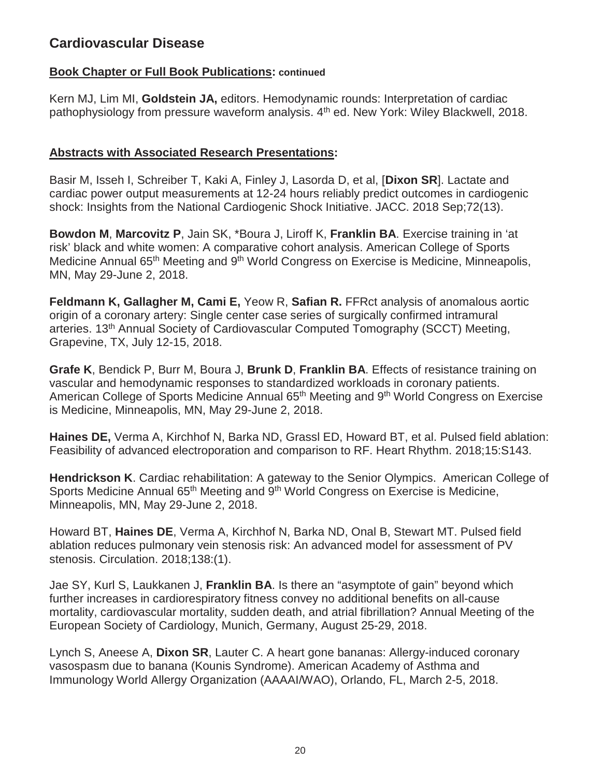#### **Book Chapter or Full Book Publications: continued**

Kern MJ, Lim MI, **Goldstein JA,** editors. Hemodynamic rounds: Interpretation of cardiac pathophysiology from pressure waveform analysis. 4<sup>th</sup> ed. New York: Wiley Blackwell, 2018.

#### **Abstracts with Associated Research Presentations:**

Basir M, Isseh I, Schreiber T, Kaki A, Finley J, Lasorda D, et al, [**Dixon SR**]. Lactate and cardiac power output measurements at 12-24 hours reliably predict outcomes in cardiogenic shock: Insights from the National Cardiogenic Shock Initiative. JACC. 2018 Sep;72(13).

**Bowdon M**, **Marcovitz P**, Jain SK, \*Boura J, Liroff K, **Franklin BA**. Exercise training in 'at risk' black and white women: A comparative cohort analysis. American College of Sports Medicine Annual 65<sup>th</sup> Meeting and 9<sup>th</sup> World Congress on Exercise is Medicine, Minneapolis, MN, May 29-June 2, 2018.

**Feldmann K, Gallagher M, Cami E,** Yeow R, **Safian R.** FFRct analysis of anomalous aortic origin of a coronary artery: Single center case series of surgically confirmed intramural arteries. 13th Annual Society of Cardiovascular Computed Tomography (SCCT) Meeting, Grapevine, TX, July 12-15, 2018.

**Grafe K**, Bendick P, Burr M, Boura J, **Brunk D**, **Franklin BA**. Effects of resistance training on vascular and hemodynamic responses to standardized workloads in coronary patients. American College of Sports Medicine Annual 65<sup>th</sup> Meeting and 9<sup>th</sup> World Congress on Exercise is Medicine, Minneapolis, MN, May 29-June 2, 2018.

**Haines DE,** Verma A, Kirchhof N, Barka ND, Grassl ED, Howard BT, et al. Pulsed field ablation: Feasibility of advanced electroporation and comparison to RF. Heart Rhythm. 2018;15:S143.

**Hendrickson K**. Cardiac rehabilitation: A gateway to the Senior Olympics. American College of Sports Medicine Annual 65<sup>th</sup> Meeting and 9<sup>th</sup> World Congress on Exercise is Medicine, Minneapolis, MN, May 29-June 2, 2018.

Howard BT, **Haines DE**, Verma A, Kirchhof N, Barka ND, Onal B, Stewart MT. Pulsed field ablation reduces pulmonary vein stenosis risk: An advanced model for assessment of PV stenosis. Circulation. 2018;138:(1).

Jae SY, Kurl S, Laukkanen J, **Franklin BA**. Is there an "asymptote of gain" beyond which further increases in cardiorespiratory fitness convey no additional benefits on all-cause mortality, cardiovascular mortality, sudden death, and atrial fibrillation? Annual Meeting of the European Society of Cardiology, Munich, Germany, August 25-29, 2018.

Lynch S, Aneese A, **Dixon SR**, Lauter C. A heart gone bananas: Allergy-induced coronary vasospasm due to banana (Kounis Syndrome). American Academy of Asthma and Immunology World Allergy Organization (AAAAI/WAO), Orlando, FL, March 2-5, 2018.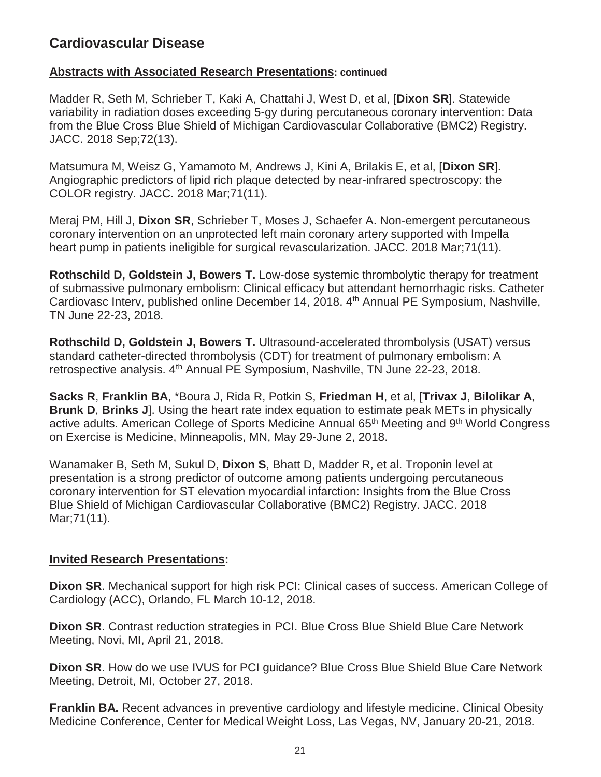#### **Abstracts with Associated Research Presentations: continued**

Madder R, Seth M, Schrieber T, Kaki A, Chattahi J, West D, et al, [**Dixon SR**]. Statewide variability in radiation doses exceeding 5-gy during percutaneous coronary intervention: Data from the Blue Cross Blue Shield of Michigan Cardiovascular Collaborative (BMC2) Registry. JACC. 2018 Sep;72(13).

Matsumura M, Weisz G, Yamamoto M, Andrews J, Kini A, Brilakis E, et al, [**Dixon SR**]. Angiographic predictors of lipid rich plaque detected by near-infrared spectroscopy: the COLOR registry. JACC. 2018 Mar;71(11).

Meraj PM, Hill J, **Dixon SR**, Schrieber T, Moses J, Schaefer A. Non-emergent percutaneous coronary intervention on an unprotected left main coronary artery supported with Impella heart pump in patients ineligible for surgical revascularization. JACC. 2018 Mar;71(11).

**Rothschild D, Goldstein J, Bowers T.** Low-dose systemic thrombolytic therapy for treatment of submassive pulmonary embolism: Clinical efficacy but attendant hemorrhagic risks. Catheter Cardiovasc Interv, published online December 14, 2018. 4th Annual PE Symposium, Nashville, TN June 22-23, 2018.

**Rothschild D, Goldstein J, Bowers T.** Ultrasound-accelerated thrombolysis (USAT) versus standard catheter-directed thrombolysis (CDT) for treatment of pulmonary embolism: A retrospective analysis. 4<sup>th</sup> Annual PE Symposium, Nashville, TN June 22-23, 2018.

**Sacks R**, **Franklin BA**, \*Boura J, Rida R, Potkin S, **Friedman H**, et al, [**Trivax J**, **Bilolikar A**, **Brunk D**, **Brinks J**]. Using the heart rate index equation to estimate peak METs in physically active adults. American College of Sports Medicine Annual 65<sup>th</sup> Meeting and 9<sup>th</sup> World Congress on Exercise is Medicine, Minneapolis, MN, May 29-June 2, 2018.

Wanamaker B, Seth M, Sukul D, **Dixon S**, Bhatt D, Madder R, et al. Troponin level at presentation is a strong predictor of outcome among patients undergoing percutaneous coronary intervention for ST elevation myocardial infarction: Insights from the Blue Cross Blue Shield of Michigan Cardiovascular Collaborative (BMC2) Registry. JACC. 2018 Mar;71(11).

### **Invited Research Presentations:**

**Dixon SR**. Mechanical support for high risk PCI: Clinical cases of success. American College of Cardiology (ACC), Orlando, FL March 10-12, 2018.

**Dixon SR**. Contrast reduction strategies in PCI. Blue Cross Blue Shield Blue Care Network Meeting, Novi, MI, April 21, 2018.

**Dixon SR**. How do we use IVUS for PCI guidance? Blue Cross Blue Shield Blue Care Network Meeting, Detroit, MI, October 27, 2018.

**Franklin BA.** Recent advances in preventive cardiology and lifestyle medicine. Clinical Obesity Medicine Conference, Center for Medical Weight Loss, Las Vegas, NV, January 20-21, 2018.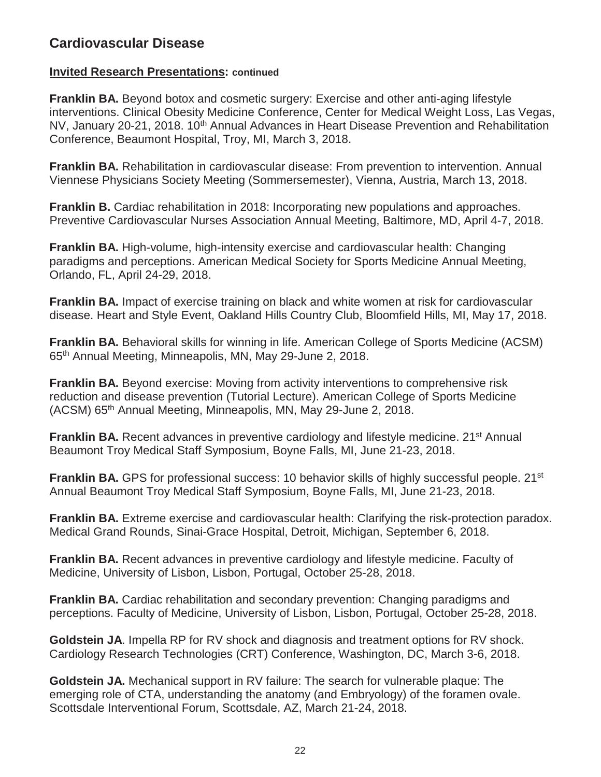#### **Invited Research Presentations: continued**

**Franklin BA.** Beyond botox and cosmetic surgery: Exercise and other anti-aging lifestyle interventions. Clinical Obesity Medicine Conference, Center for Medical Weight Loss, Las Vegas, NV, January 20-21, 2018. 10<sup>th</sup> Annual Advances in Heart Disease Prevention and Rehabilitation Conference, Beaumont Hospital, Troy, MI, March 3, 2018.

**Franklin BA.** Rehabilitation in cardiovascular disease: From prevention to intervention. Annual Viennese Physicians Society Meeting (Sommersemester), Vienna, Austria, March 13, 2018.

**Franklin B.** Cardiac rehabilitation in 2018: Incorporating new populations and approaches. Preventive Cardiovascular Nurses Association Annual Meeting, Baltimore, MD, April 4-7, 2018.

**Franklin BA.** High-volume, high-intensity exercise and cardiovascular health: Changing paradigms and perceptions. American Medical Society for Sports Medicine Annual Meeting, Orlando, FL, April 24-29, 2018.

**Franklin BA.** Impact of exercise training on black and white women at risk for cardiovascular disease. Heart and Style Event, Oakland Hills Country Club, Bloomfield Hills, MI, May 17, 2018.

**Franklin BA.** Behavioral skills for winning in life. American College of Sports Medicine (ACSM) 65th Annual Meeting, Minneapolis, MN, May 29-June 2, 2018.

**Franklin BA.** Beyond exercise: Moving from activity interventions to comprehensive risk reduction and disease prevention (Tutorial Lecture). American College of Sports Medicine (ACSM) 65<sup>th</sup> Annual Meeting, Minneapolis, MN, May 29-June 2, 2018.

**Franklin BA.** Recent advances in preventive cardiology and lifestyle medicine. 21<sup>st</sup> Annual Beaumont Troy Medical Staff Symposium, Boyne Falls, MI, June 21-23, 2018.

**Franklin BA.** GPS for professional success: 10 behavior skills of highly successful people. 21<sup>st</sup> Annual Beaumont Troy Medical Staff Symposium, Boyne Falls, MI, June 21-23, 2018.

**Franklin BA.** Extreme exercise and cardiovascular health: Clarifying the risk-protection paradox. Medical Grand Rounds, Sinai-Grace Hospital, Detroit, Michigan, September 6, 2018.

**Franklin BA.** Recent advances in preventive cardiology and lifestyle medicine. Faculty of Medicine, University of Lisbon, Lisbon, Portugal, October 25-28, 2018.

**Franklin BA.** Cardiac rehabilitation and secondary prevention: Changing paradigms and perceptions. Faculty of Medicine, University of Lisbon, Lisbon, Portugal, October 25-28, 2018.

**Goldstein JA**. Impella RP for RV shock and diagnosis and treatment options for RV shock. Cardiology Research Technologies (CRT) Conference, Washington, DC, March 3-6, 2018.

**Goldstein JA.** Mechanical support in RV failure: The search for vulnerable plaque: The emerging role of CTA, understanding the anatomy (and Embryology) of the foramen ovale. Scottsdale Interventional Forum, Scottsdale, AZ, March 21-24, 2018.